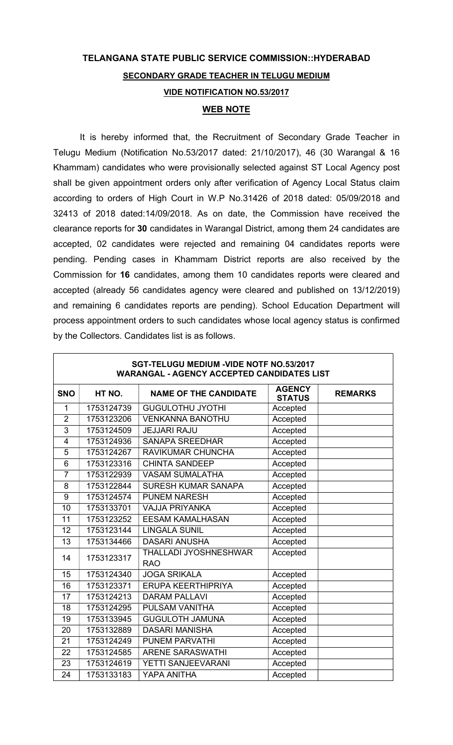## TELANGANA STATE PUBLIC SERVICE COMMISSION::HYDERABAD SECONDARY GRADE TEACHER IN TELUGU MEDIUM VIDE NOTIFICATION NO.53/2017 WEB NOTE

It is hereby informed that, the Recruitment of Secondary Grade Teacher in Telugu Medium (Notification No.53/2017 dated: 21/10/2017), 46 (30 Warangal & 16 Khammam) candidates who were provisionally selected against ST Local Agency post shall be given appointment orders only after verification of Agency Local Status claim according to orders of High Court in W.P No.31426 of 2018 dated: 05/09/2018 and 32413 of 2018 dated:14/09/2018. As on date, the Commission have received the clearance reports for 30 candidates in Warangal District, among them 24 candidates are accepted, 02 candidates were rejected and remaining 04 candidates reports were pending. Pending cases in Khammam District reports are also received by the Commission for 16 candidates, among them 10 candidates reports were cleared and accepted (already 56 candidates agency were cleared and published on 13/12/2019) and remaining 6 candidates reports are pending). School Education Department will process appointment orders to such candidates whose local agency status is confirmed by the Collectors. Candidates list is as follows.

| SGT-TELUGU MEDIUM -VIDE NOTF NO.53/2017<br><b>WARANGAL - AGENCY ACCEPTED CANDIDATES LIST</b> |            |                                     |                                |                |  |  |
|----------------------------------------------------------------------------------------------|------------|-------------------------------------|--------------------------------|----------------|--|--|
| <b>SNO</b>                                                                                   | HT NO.     | <b>NAME OF THE CANDIDATE</b>        | <b>AGENCY</b><br><b>STATUS</b> | <b>REMARKS</b> |  |  |
| 1                                                                                            | 1753124739 | <b>GUGULOTHU JYOTHI</b>             | Accepted                       |                |  |  |
| $\overline{2}$                                                                               | 1753123206 | <b>VENKANNA BANOTHU</b>             | Accepted                       |                |  |  |
| 3                                                                                            | 1753124509 | <b>JEJJARI RAJU</b>                 | Accepted                       |                |  |  |
| $\overline{4}$                                                                               | 1753124936 | <b>SANAPA SREEDHAR</b>              | Accepted                       |                |  |  |
| $\overline{5}$                                                                               | 1753124267 | RAVIKUMAR CHUNCHA                   | Accepted                       |                |  |  |
| $6\phantom{1}$                                                                               | 1753123316 | <b>CHINTA SANDEEP</b>               | Accepted                       |                |  |  |
| $\overline{7}$                                                                               | 1753122939 | <b>VASAM SUMALATHA</b>              | Accepted                       |                |  |  |
| 8                                                                                            | 1753122844 | <b>SURESH KUMAR SANAPA</b>          | Accepted                       |                |  |  |
| 9                                                                                            | 1753124574 | <b>PUNEM NARESH</b>                 | Accepted                       |                |  |  |
| 10                                                                                           | 1753133701 | <b>VAJJA PRIYANKA</b>               | Accepted                       |                |  |  |
| 11                                                                                           | 1753123252 | <b>EESAM KAMALHASAN</b>             | Accepted                       |                |  |  |
| 12                                                                                           | 1753123144 | <b>LINGALA SUNIL</b>                | Accepted                       |                |  |  |
| 13                                                                                           | 1753134466 | <b>DASARI ANUSHA</b>                | Accepted                       |                |  |  |
| 14                                                                                           | 1753123317 | THALLADI JYOSHNESHWAR<br><b>RAO</b> | Accepted                       |                |  |  |
| 15                                                                                           | 1753124340 | <b>JOGA SRIKALA</b>                 | Accepted                       |                |  |  |
| 16                                                                                           | 1753123371 | <b>ERUPA KEERTHIPRIYA</b>           | Accepted                       |                |  |  |
| 17                                                                                           | 1753124213 | <b>DARAM PALLAVI</b>                | Accepted                       |                |  |  |
| 18                                                                                           | 1753124295 | PULSAM VANITHA                      | Accepted                       |                |  |  |
| 19                                                                                           | 1753133945 | <b>GUGULOTH JAMUNA</b>              | Accepted                       |                |  |  |
| 20                                                                                           | 1753132889 | <b>DASARI MANISHA</b>               | Accepted                       |                |  |  |
| 21                                                                                           | 1753124249 | <b>PUNEM PARVATHI</b>               | Accepted                       |                |  |  |
| 22                                                                                           | 1753124585 | <b>ARENE SARASWATHI</b>             | Accepted                       |                |  |  |
| 23                                                                                           | 1753124619 | YETTI SANJEEVARANI                  | Accepted                       |                |  |  |
| 24                                                                                           | 1753133183 | YAPA ANITHA                         | Accepted                       |                |  |  |